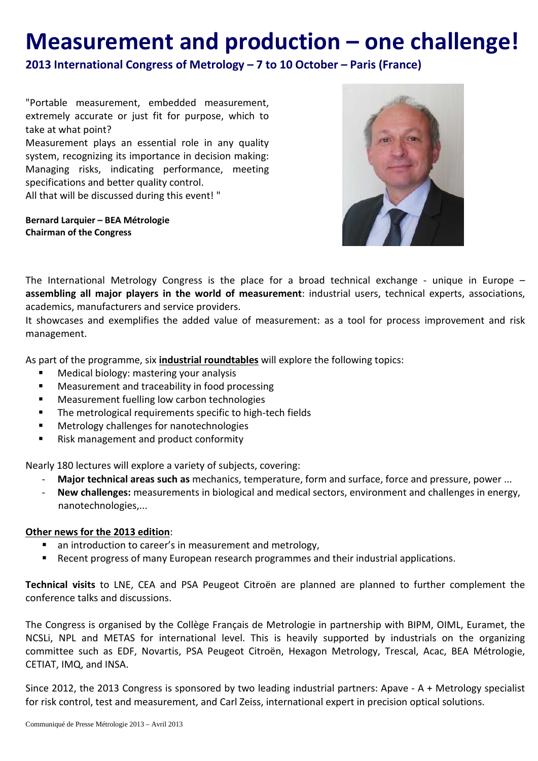## **Measurement and production – one challenge!**

**2013 International Congress of Metrology – 7 to 10 October – Paris (France)**

"Portable measurement, embedded measurement, extremely accurate or just fit for purpose, which to take at what point?

Measurement plays an essential role in any quality system, recognizing its importance in decision making: Managing risks, indicating performance, meeting specifications and better quality control.

All that will be discussed during this event! "

**Bernard Larquier – BEA Métrologie Chairman of the Congress**



The International Metrology Congress is the place for a broad technical exchange - unique in Europe – **assembling all major players in the world of measurement**: industrial users, technical experts, associations, academics, manufacturers and service providers.

It showcases and exemplifies the added value of measurement: as a tool for process improvement and risk management.

As part of the programme, six **industrial roundtables** will explore the following topics:

- **Medical biology: mastering your analysis**
- **Measurement and traceability in food processing**
- **EXEC** Measurement fuelling low carbon technologies
- **The metrological requirements specific to high-tech fields**
- **Metrology challenges for nanotechnologies**
- **Risk management and product conformity**

Nearly 180 lectures will explore a variety of subjects, covering:

- **Major technical areas such as** mechanics, temperature, form and surface, force and pressure, power ...
- **New challenges:** measurements in biological and medical sectors, environment and challenges in energy, nanotechnologies,...

## **Other news for the 2013 edition**:

- an introduction to career's in measurement and metrology,
- **Recent progress of many European research programmes and their industrial applications.**

**Technical visits** to LNE, CEA and PSA Peugeot Citroën are planned are planned to further complement the conference talks and discussions.

The Congress is organised by the Collège Français de Metrologie in partnership with BIPM, OIML, Euramet, the NCSLi, NPL and METAS for international level. This is heavily supported by industrials on the organizing committee such as EDF, Novartis, PSA Peugeot Citroën, Hexagon Metrology, Trescal, Acac, BEA Métrologie, CETIAT, IMQ, and INSA.

Since 2012, the 2013 Congress is sponsored by two leading industrial partners: Apave - A + Metrology specialist for risk control, test and measurement, and Carl Zeiss, international expert in precision optical solutions.